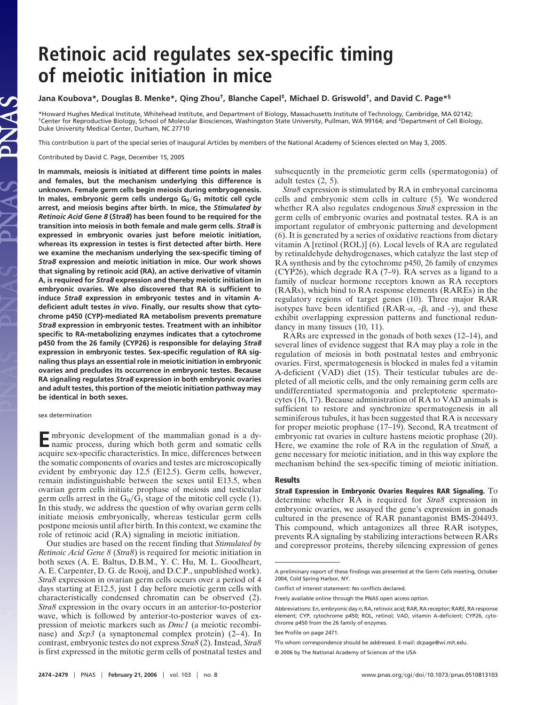# **Retinoic acid regulates sex-specific timing of meiotic initiation in mice**

## **Jana Koubova\*, Douglas B. Menke\*, Qing Zhou†, Blanche Capel‡, Michael D. Griswold†, and David C. Page\*§**

\*Howard Hughes Medical Institute, Whitehead Institute, and Department of Biology, Massachusetts Institute of Technology, Cambridge, MA 02142; †Center for Reproductive Biology, School of Molecular Biosciences, Washingston State University, Pullman, WA 99164; and ‡Department of Cell Biology, Duke University Medical Center, Durham, NC 27710

This contribution is part of the special series of Inaugural Articles by members of the National Academy of Sciences elected on May 3, 2005.

Contributed by David C. Page, December 15, 2005

AS

**In mammals, meiosis is initiated at different time points in males and females, but the mechanism underlying this difference is unknown. Female germ cells begin meiosis during embryogenesis.** In males, embryonic germ cells undergo G<sub>0</sub>/G<sub>1</sub> mitotic cell cycle **arrest, and meiosis begins after birth. In mice, the** *Stimulated by Retinoic Acid Gene 8* **(***Stra8***) has been found to be required for the transition into meiosis in both female and male germ cells.** *Stra8* **is expressed in embryonic ovaries just before meiotic initiation, whereas its expression in testes is first detected after birth. Here we examine the mechanism underlying the sex-specific timing of** *Stra8* **expression and meiotic initiation in mice. Our work shows that signaling by retinoic acid (RA), an active derivative of vitamin A, is required for** *Stra8* **expression and thereby meiotic initiation in embryonic ovaries. We also discovered that RA is sufficient to induce** *Stra8* **expression in embryonic testes and in vitamin Adeficient adult testes** *in vivo***. Finally, our results show that cytochrome p450 (CYP)-mediated RA metabolism prevents premature** *Stra8* **expression in embryonic testes. Treatment with an inhibitor specific to RA-metabolizing enzymes indicates that a cytochrome p450 from the 26 family (CYP26) is responsible for delaying** *Stra8* **expression in embryonic testes. Sex-specific regulation of RA signaling thus plays an essential role in meiotic initiation in embryonic ovaries and precludes its occurrence in embryonic testes. Because RA signaling regulates** *Stra8* **expression in both embryonic ovaries and adult testes, this portion of the meiotic initiation pathway may be identical in both sexes.**

#### sex determination

**E**mbryonic development of the mammalian gonad is a dynamic process, during which both germ and somatic cells acquire sex-specific characteristics. In mice, differences between the somatic components of ovaries and testes are microscopically evident by embryonic day 12.5 (E12.5). Germ cells, however, remain indistinguishable between the sexes until E13.5, when ovarian germ cells initiate prophase of meiosis and testicular germ cells arrest in the  $G_0/G_1$  stage of the mitotic cell cycle (1). In this study, we address the question of why ovarian germ cells initiate meiosis embryonically, whereas testicular germ cells postpone meiosis until after birth. In this context, we examine the role of retinoic acid (RA) signaling in meiotic initiation.

Our studies are based on the recent finding that *Stimulated by Retinoic Acid Gene 8* (*Stra8*) is required for meiotic initiation in both sexes (A. E. Baltus, D.B.M., Y. C. Hu, M. L. Goodheart, A. E. Carpenter, D. G. de Rooij, and D.C.P., unpublished work). *Stra8* expression in ovarian germ cells occurs over a period of 4 days starting at E12.5, just 1 day before meiotic germ cells with characteristically condensed chromatin can be observed (2). *Stra8* expression in the ovary occurs in an anterior-to-posterior wave, which is followed by anterior-to-posterior waves of expression of meiotic markers such as *Dmc1* (a meiotic recombinase) and *Scp3* (a synaptonemal complex protein) (2–4). In contrast, embryonic testes do not express *Stra8* (2). Instead, *Stra8* is first expressed in the mitotic germ cells of postnatal testes and

subsequently in the premeiotic germ cells (spermatogonia) of adult testes (2, 5).

*Stra8* expression is stimulated by RA in embryonal carcinoma cells and embryonic stem cells in culture (5). We wondered whether RA also regulates endogenous *Stra8* expression in the germ cells of embryonic ovaries and postnatal testes. RA is an important regulator of embryonic patterning and development (6). It is generated by a series of oxidative reactions from dietary vitamin A [retinol (ROL)] (6). Local levels of RA are regulated by retinaldehyde dehydrogenases, which catalyze the last step of RA synthesis and by the cytochrome p450, 26 family of enzymes (CYP26), which degrade RA (7–9). RA serves as a ligand to a family of nuclear hormone receptors known as RA receptors (RARs), which bind to RA response elements (RAREs) in the regulatory regions of target genes (10). Three major RAR isotypes have been identified (RAR- $\alpha$ , - $\beta$ , and - $\gamma$ ), and these exhibit overlapping expression patterns and functional redundancy in many tissues (10, 11).

RARs are expressed in the gonads of both sexes (12–14), and several lines of evidence suggest that RA may play a role in the regulation of meiosis in both postnatal testes and embryonic ovaries. First, spermatogenesis is blocked in males fed a vitamin A-deficient (VAD) diet (15). Their testicular tubules are depleted of all meiotic cells, and the only remaining germ cells are undifferentiated spermatogonia and preleptotene spermatocytes (16, 17). Because administration of RA to VAD animals is sufficient to restore and synchronize spermatogenesis in all seminiferous tubules, it has been suggested that RA is necessary for proper meiotic prophase (17–19). Second, RA treatment of embryonic rat ovaries in culture hastens meiotic prophase (20). Here, we examine the role of RA in the regulation of *Stra8,* a gene necessary for meiotic initiation, and in this way explore the mechanism behind the sex-specific timing of meiotic initiation.

### **Results**

**Stra8 Expression in Embryonic Ovaries Requires RAR Signaling.** To determine whether RA is required for *Stra8* expression in embryonic ovaries, we assayed the gene's expression in gonads cultured in the presence of RAR panantagonist BMS-204493. This compound, which antagonizes all three RAR isotypes, prevents RA signaling by stabilizing interactions between RARs and corepressor proteins, thereby silencing expression of genes

A preliminary report of these findings was presented at the Germ Cells meeting, October 2004, Cold Spring Harbor, NY.

Conflict of interest statement: No conflicts declared.

Freely available online through the PNAS open access option.

Abbreviations: E*n*, embryonic day *n*; RA, retinoic acid; RAR, RA receptor; RARE, RA response element; CYP, cytochrome p450; ROL, retinol; VAD, vitamin A-deficient; CYP26, cytochrome p450 from the 26 family of enzymes.

See Profile on page 2471.

<sup>§</sup>To whom correspondence should be addressed. E-mail: dcpage@wi.mit.edu.

<sup>© 2006</sup> by The National Academy of Sciences of the USA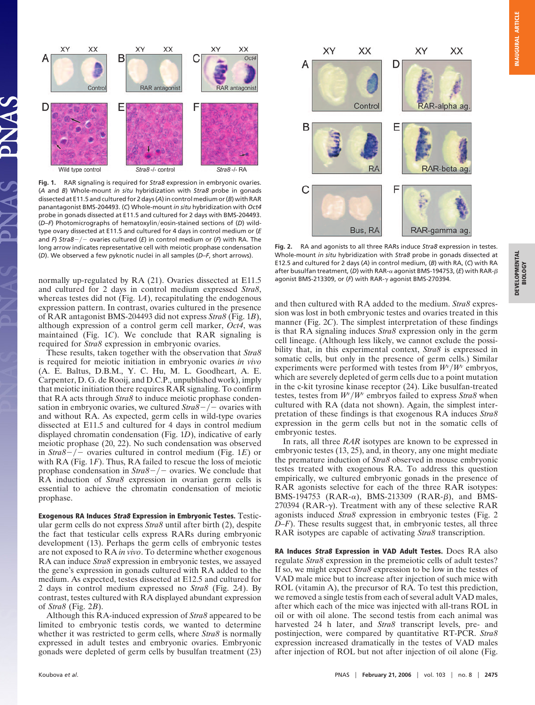**DEVELOPMENTAL DEVELOPMENTAL**<br>BIOLOGY



**Fig. 1.** RAR signaling is required for *Stra8* expression in embryonic ovaries. (*A* and *B*) Whole-mount *in situ* hybridization with *Stra8* probe in gonads dissected at E11.5 and cultured for 2 days (*A*) in control medium or (*B*) with RAR panantagonist BMS-204493. (*C*) Whole-mount *in situ* hybridization with *Oct4* probe in gonads dissected at E11.5 and cultured for 2 days with BMS-204493. (*D-F*) Photomicrographs of hematoxylin/eosin-stained sections of (*D*) wildtype ovary dissected at E11.5 and cultured for 4 days in control medium or (*E* and *F*) *Stra8* - / - ovaries cultured (*E*) in control medium or (*F*) with RA. The long arrow indicates representative cell with meiotic prophase condensation (*D*). We observed a few pyknotic nuclei in all samples (*D–F*, short arrows).

normally up-regulated by RA (21). Ovaries dissected at E11.5 and cultured for 2 days in control medium expressed *Stra8*, whereas testes did not (Fig. 1*A*), recapitulating the endogenous expression pattern. In contrast, ovaries cultured in the presence of RAR antagonist BMS-204493 did not express *Stra8* (Fig. 1*B*), although expression of a control germ cell marker, *Oct4*, was maintained (Fig. 1*C*). We conclude that RAR signaling is required for *Stra8* expression in embryonic ovaries.

These results, taken together with the observation that *Stra8* is required for meiotic initiation in embryonic ovaries *in vivo* (A. E. Baltus, D.B.M., Y. C. Hu, M. L. Goodheart, A. E. Carpenter, D. G. de Rooij, and D.C.P., unpublished work), imply that meiotic initiation there requires RAR signaling. To confirm that RA acts through *Stra8* to induce meiotic prophase condensation in embryonic ovaries, we cultured  $Stra\overline{8} - \overline{/-}$  ovaries with and without RA. As expected, germ cells in wild-type ovaries dissected at E11.5 and cultured for 4 days in control medium displayed chromatin condensation (Fig. 1*D*), indicative of early meiotic prophase (20, 22). No such condensation was observed in *Stra8*  $-/-$  ovaries cultured in control medium (Fig. 1*E*) or with RA (Fig. 1*F*). Thus, RA failed to rescue the loss of meiotic prophase condensation in  $Strab - / -$  ovaries. We conclude that RA induction of *Stra8* expression in ovarian germ cells is essential to achieve the chromatin condensation of meiotic prophase.

**Exogenous RA Induces Stra8 Expression in Embryonic Testes.** Testicular germ cells do not express *Stra8* until after birth (2), despite the fact that testicular cells express RARs during embryonic development (13). Perhaps the germ cells of embryonic testes are not exposed to RA *in vivo*. To determine whether exogenous RA can induce *Stra8* expression in embryonic testes, we assayed the gene's expression in gonads cultured with RA added to the medium. As expected, testes dissected at E12.5 and cultured for 2 days in control medium expressed no *Stra8* (Fig. 2*A*). By contrast, testes cultured with RA displayed abundant expression of *Stra8* (Fig. 2*B*).

Although this RA-induced expression of *Stra8* appeared to be limited to embryonic testis cords, we wanted to determine whether it was restricted to germ cells, where *Stra8* is normally expressed in adult testes and embryonic ovaries. Embryonic gonads were depleted of germ cells by busulfan treatment (23)



**Fig. 2.** RA and agonists to all three RARs induce *Stra8* expression in testes. Whole-mount *in situ* hybridization with *Stra8* probe in gonads dissected at E12.5 and cultured for 2 days (*A*) in control medium, (*B*) with RA, (*C*) with RA after busulfan treatment, (D) with RAR-α agonist BMS-194753, (E) with RAR-β agonist BMS-213309, or  $(F)$  with RAR- $\gamma$  agonist BMS-270394.

and then cultured with RA added to the medium. *Stra8* expression was lost in both embryonic testes and ovaries treated in this manner (Fig. 2*C*). The simplest interpretation of these findings is that RA signaling induces *Stra8* expression only in the germ cell lineage. (Although less likely, we cannot exclude the possibility that, in this experimental context, *Stra8* is expressed in somatic cells, but only in the presence of germ cells.) Similar experiments were performed with testes from  $W/W$ <sup>*v*</sup> embryos, which are severely depleted of germ cells due to a point mutation in the c-kit tyrosine kinase receptor (24). Like busulfan-treated testes, testes from  $W/W$ <sup>*v*</sup> embryos failed to express *Stra8* when cultured with RA (data not shown). Again, the simplest interpretation of these findings is that exogenous RA induces *Stra8* expression in the germ cells but not in the somatic cells of embryonic testes.

In rats, all three *RAR* isotypes are known to be expressed in embryonic testes (13, 25), and, in theory, any one might mediate the premature induction of *Stra8* observed in mouse embryonic testes treated with exogenous RA. To address this question empirically, we cultured embryonic gonads in the presence of RAR agonists selective for each of the three RAR isotypes: BMS-194753 (RAR- $\alpha$ ), BMS-213309 (RAR- $\beta$ ), and BMS-270394 ( $RAR-\gamma$ ). Treatment with any of these selective  $RAR$ agonists induced *Stra8* expression in embryonic testes (Fig. 2 *D–F*). These results suggest that, in embryonic testes, all three RAR isotypes are capable of activating *Stra8* transcription.

**RA Induces Stra8 Expression in VAD Adult Testes.** Does RA also regulate *Stra8* expression in the premeiotic cells of adult testes? If so, we might expect *Stra8* expression to be low in the testes of VAD male mice but to increase after injection of such mice with ROL (vitamin A), the precursor of RA. To test this prediction, we removed a single testis from each of several adult VAD males, after which each of the mice was injected with all-trans ROL in oil or with oil alone. The second testis from each animal was harvested 24 h later, and *Stra8* transcript levels, pre- and postinjection, were compared by quantitative RT-PCR. *Stra8* expression increased dramatically in the testes of VAD males after injection of ROL but not after injection of oil alone (Fig.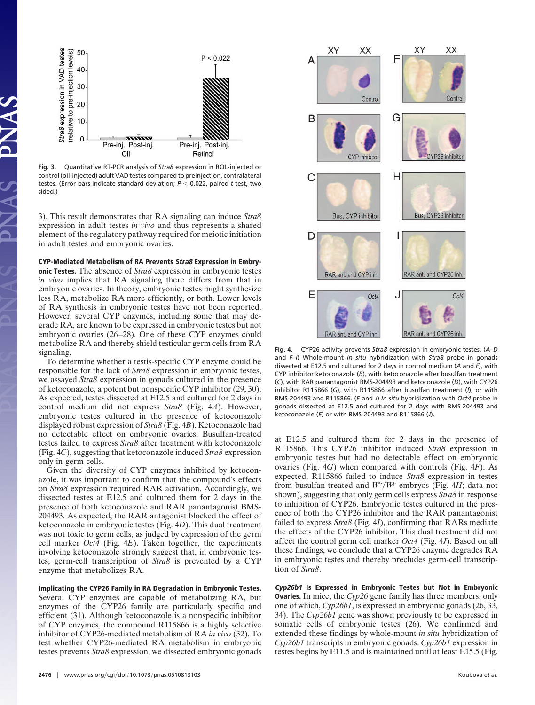

**Fig. 3.** Quantitative RT-PCR analysis of *Stra8* expression in ROL-injected or control (oil-injected) adult VAD testes compared to preinjection, contralateral testes. (Error bars indicate standard deviation;  $P < 0.022$ , paired t test, two sided.)

3). This result demonstrates that RA signaling can induce *Stra8* expression in adult testes *in vivo* and thus represents a shared element of the regulatory pathway required for meiotic initiation in adult testes and embryonic ovaries.

**CYP-Mediated Metabolism of RA Prevents Stra8 Expression in Embry-**

**onic Testes.** The absence of *Stra8* expression in embryonic testes *in vivo* implies that RA signaling there differs from that in embryonic ovaries. In theory, embryonic testes might synthesize less RA, metabolize RA more efficiently, or both. Lower levels of RA synthesis in embryonic testes have not been reported. However, several CYP enzymes, including some that may degrade RA, are known to be expressed in embryonic testes but not embryonic ovaries (26–28). One of these CYP enzymes could metabolize RA and thereby shield testicular germ cells from RA signaling.

To determine whether a testis-specific CYP enzyme could be responsible for the lack of *Stra8* expression in embryonic testes, we assayed *Stra8* expression in gonads cultured in the presence of ketoconazole, a potent but nonspecific CYP inhibitor (29, 30). As expected, testes dissected at E12.5 and cultured for 2 days in control medium did not express *Stra8* (Fig. 4*A*). However, embryonic testes cultured in the presence of ketoconazole displayed robust expression of *Stra8* (Fig. 4*B*). Ketoconazole had no detectable effect on embryonic ovaries. Busulfan-treated testes failed to express *Stra8* after treatment with ketoconazole (Fig. 4*C*), suggesting that ketoconazole induced *Stra8* expression only in germ cells.

Given the diversity of CYP enzymes inhibited by ketoconazole, it was important to confirm that the compound's effects on *Stra8* expression required RAR activation. Accordingly, we dissected testes at E12.5 and cultured them for 2 days in the presence of both ketoconazole and RAR panantagonist BMS-204493. As expected, the RAR antagonist blocked the effect of ketoconazole in embryonic testes (Fig. 4*D*). This dual treatment was not toxic to germ cells, as judged by expression of the germ cell marker *Oct4* (Fig. 4*E*). Taken together, the experiments involving ketoconazole strongly suggest that, in embryonic testes, germ-cell transcription of *Stra8* is prevented by a CYP enzyme that metabolizes RA.

**Implicating the CYP26 Family in RA Degradation in Embryonic Testes.** Several CYP enzymes are capable of metabolizing RA, but enzymes of the CYP26 family are particularly specific and efficient (31). Although ketoconazole is a nonspecific inhibitor of CYP enzymes, the compound R115866 is a highly selective inhibitor of CYP26-mediated metabolism of RA *in vivo* (32). To test whether CYP26-mediated RA metabolism in embryonic testes prevents *Stra8* expression, we dissected embryonic gonads



**Fig. 4.** CYP26 activity prevents *Stra8* expression in embryonic testes. (*A–D* and *F–I*) Whole-mount *in situ* hybridization with *Stra8* probe in gonads dissected at E12.5 and cultured for 2 days in control medium (*A* and *F*), with CYP inhibitor ketoconazole (*B*), with ketoconazole after busulfan treatment (*C*), with RAR panantagonist BMS-204493 and ketoconazole (*D*), with CYP26 inhibitor R115866 (*G*), with R115866 after busulfan treatment (*I*), or with BMS-204493 and R115866. (*E* and *J*) *In situ* hybridization with *Oct4* probe in gonads dissected at E12.5 and cultured for 2 days with BMS-204493 and ketoconazole (*E*) or with BMS-204493 and R115866 (*J*).

at E12.5 and cultured them for 2 days in the presence of R115866. This CYP26 inhibitor induced *Stra8* expression in embryonic testes but had no detectable effect on embryonic ovaries (Fig. 4*G*) when compared with controls (Fig. 4*F*). As expected, R115866 failed to induce *Stra8* expression in testes from busulfan-treated and  $W/W$ <sup>*v*</sup> embryos (Fig. 4H; data not shown), suggesting that only germ cells express *Stra8* in response to inhibition of CYP26. Embryonic testes cultured in the presence of both the CYP26 inhibitor and the RAR panantagonist failed to express *Stra8* (Fig. 4*I*), confirming that RARs mediate the effects of the CYP26 inhibitor. This dual treatment did not affect the control germ cell marker *Oct4* (Fig. 4*J*). Based on all these findings, we conclude that a CYP26 enzyme degrades RA in embryonic testes and thereby precludes germ-cell transcription of *Stra8*.

**Cyp26b1 Is Expressed in Embryonic Testes but Not in Embryonic Ovaries.** In mice, the *Cyp26* gene family has three members, only one of which, *Cyp26b1*, is expressed in embryonic gonads (26, 33, 34). The *Cyp26b1* gene was shown previously to be expressed in somatic cells of embryonic testes (26). We confirmed and extended these findings by whole-mount *in situ* hybridization of *Cyp26b1* transcripts in embryonic gonads. *Cyp26b1* expression in testes begins by E11.5 and is maintained until at least E15.5 (Fig.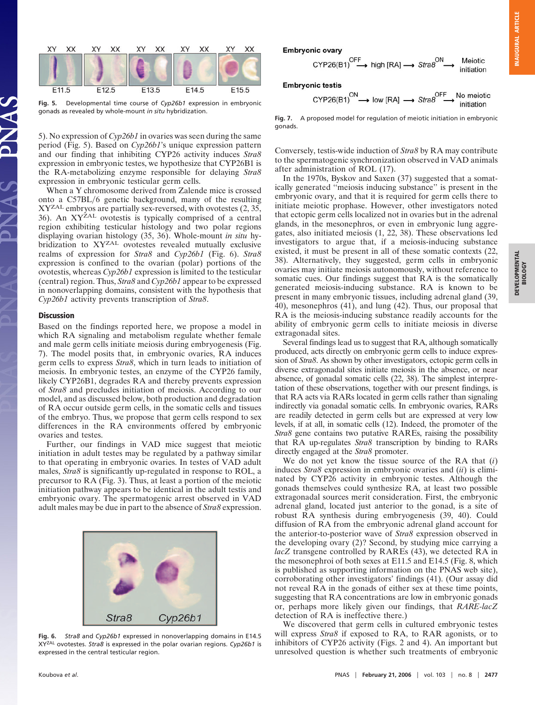

**Fig. 5.** Developmental time course of *Cyp26b1* expression in embryonic gonads as revealed by whole-mount *in situ* hybridization.

5). No expression of *Cyp26b1* in ovaries was seen during the same period (Fig. 5). Based on *Cyp26b1*'s unique expression pattern and our finding that inhibiting CYP26 activity induces *Stra8* expression in embryonic testes, we hypothesize that CYP26B1 is the RA-metabolizing enzyme responsible for delaying *Stra8* expression in embryonic testicular germ cells.

When a Y chromosome derived from Zalende mice is crossed onto a C57BL/6 genetic background, many of the resulting XYZAL embryos are partially sex-reversed, with ovotestes (2, 35, 36). An XY<sup>ŽAL</sup> ovotestis is typically comprised of a central region exhibiting testicular histology and two polar regions displaying ovarian histology (35, 36). Whole-mount *in situ* hybridization to XYZAL ovotestes revealed mutually exclusive realms of expression for *Stra8* and *Cyp26b1* (Fig. 6). *Stra8* expression is confined to the ovarian (polar) portions of the ovotestis, whereas *Cyp26b1* expression is limited to the testicular (central) region. Thus, *Stra8* and *Cyp26b1* appear to be expressed in nonoverlapping domains, consistent with the hypothesis that *Cyp26b1* activity prevents transcription of *Stra8*.

### **Discussion**

Based on the findings reported here, we propose a model in which RA signaling and metabolism regulate whether female and male germ cells initiate meiosis during embryogenesis (Fig. 7). The model posits that, in embryonic ovaries, RA induces germ cells to express *Stra8*, which in turn leads to initiation of meiosis. In embryonic testes, an enzyme of the CYP26 family, likely CYP26B1, degrades RA and thereby prevents expression of *Stra8* and precludes initiation of meiosis. According to our model, and as discussed below, both production and degradation of RA occur outside germ cells, in the somatic cells and tissues of the embryo. Thus, we propose that germ cells respond to sex differences in the RA environments offered by embryonic ovaries and testes.

Further, our findings in VAD mice suggest that meiotic initiation in adult testes may be regulated by a pathway similar to that operating in embryonic ovaries. In testes of VAD adult males, *Stra8* is significantly up-regulated in response to ROL, a precursor to RA (Fig. 3). Thus, at least a portion of the meiotic initiation pathway appears to be identical in the adult testis and embryonic ovary. The spermatogenic arrest observed in VAD adult males may be due in part to the absence of *Stra8* expression.



**Fig. 6.** *Stra8* and *Cyp26b1* expressed in nonoverlapping domains in E14.5 XYZAL ovotestes. *Stra8* is expressed in the polar ovarian regions. *Cyp26b1* is expressed in the central testicular region.

$$
CYP26(B1) \xrightarrow{OFF} \text{high [RA]} \longrightarrow \text{Strab}^{ON} \longrightarrow \text{Meiotic initiation}
$$

**Embryonic testis** 

$$
CYP26(B1) \xrightarrow{ON} \text{low [RA]} \longrightarrow \text{Strab} \xrightarrow{OFF} \text{No meiotic} \text{inification}
$$

**Fig. 7.** A proposed model for regulation of meiotic initiation in embryonic gonads.

Conversely, testis-wide induction of *Stra8* by RA may contribute to the spermatogenic synchronization observed in VAD animals after administration of ROL (17).

In the 1970s, Byskov and Saxen (37) suggested that a somatically generated ''meiosis inducing substance'' is present in the embryonic ovary, and that it is required for germ cells there to initiate meiotic prophase. However, other investigators noted that ectopic germ cells localized not in ovaries but in the adrenal glands, in the mesonephros, or even in embryonic lung aggregates, also initiated meiosis (1, 22, 38). These observations led investigators to argue that, if a meiosis-inducing substance existed, it must be present in all of these somatic contexts (22, 38). Alternatively, they suggested, germ cells in embryonic ovaries may initiate meiosis autonomously, without reference to somatic cues. Our findings suggest that RA is the somatically generated meiosis-inducing substance. RA is known to be present in many embryonic tissues, including adrenal gland (39, 40), mesonephros (41), and lung (42). Thus, our proposal that RA is the meiosis-inducing substance readily accounts for the ability of embryonic germ cells to initiate meiosis in diverse extragonadal sites.

Several findings lead us to suggest that RA, although somatically produced, acts directly on embryonic germ cells to induce expression of *Stra8*. As shown by other investigators, ectopic germ cells in diverse extragonadal sites initiate meiosis in the absence, or near absence, of gonadal somatic cells (22, 38). The simplest interpretation of these observations, together with our present findings, is that RA acts via RARs located in germ cells rather than signaling indirectly via gonadal somatic cells. In embryonic ovaries, RARs are readily detected in germ cells but are expressed at very low levels, if at all, in somatic cells (12). Indeed, the promoter of the *Stra8* gene contains two putative RAREs, raising the possibility that RA up-regulates *Stra8* transcription by binding to RARs directly engaged at the *Stra8* promoter.

We do not yet know the tissue source of the RA that (*i*) induces *Stra8* expression in embryonic ovaries and (*ii*) is eliminated by CYP26 activity in embryonic testes. Although the gonads themselves could synthesize RA, at least two possible extragonadal sources merit consideration. First, the embryonic adrenal gland, located just anterior to the gonad, is a site of robust RA synthesis during embryogenesis (39, 40). Could diffusion of RA from the embryonic adrenal gland account for the anterior-to-posterior wave of *Stra8* expression observed in the developing ovary (2)? Second, by studying mice carrying a *lacZ* transgene controlled by RAREs (43), we detected RA in the mesonephroi of both sexes at E11.5 and E14.5 (Fig. 8, which is published as supporting information on the PNAS web site), corroborating other investigators' findings (41). (Our assay did not reveal RA in the gonads of either sex at these time points, suggesting that RA concentrations are low in embryonic gonads or, perhaps more likely given our findings, that *RARE-lacZ* detection of RA is ineffective there.)

We discovered that germ cells in cultured embryonic testes will express *Stra8* if exposed to RA, to RAR agonists, or to inhibitors of CYP26 activity (Figs. 2 and 4). An important but unresolved question is whether such treatments of embryonic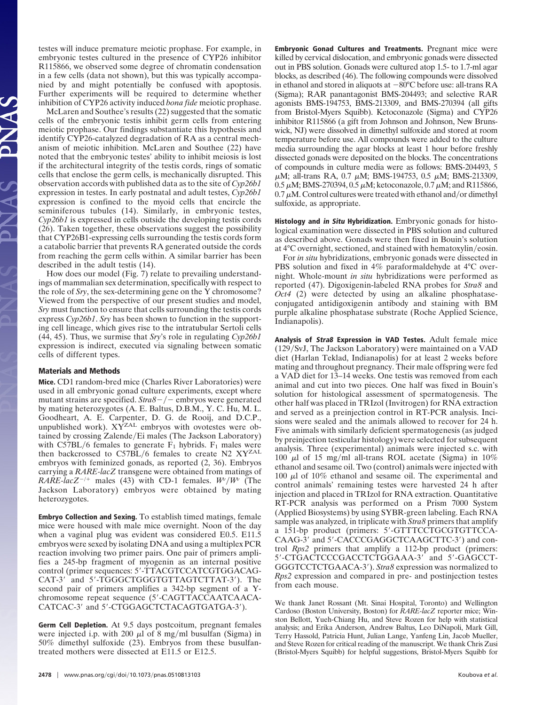testes will induce premature meiotic prophase. For example, in embryonic testes cultured in the presence of CYP26 inhibitor R115866, we observed some degree of chromatin condensation in a few cells (data not shown), but this was typically accompanied by and might potentially be confused with apoptosis. Further experiments will be required to determine whether inhibition of CYP26 activity induced *bona fide* meiotic prophase.

McLaren and Southee's results (22) suggested that the somatic cells of the embryonic testis inhibit germ cells from entering meiotic prophase. Our findings substantiate this hypothesis and identify CYP26-catalyzed degradation of RA as a central mechanism of meiotic inhibition. McLaren and Southee (22) have noted that the embryonic testes' ability to inhibit meiosis is lost if the architectural integrity of the testis cords, rings of somatic cells that enclose the germ cells, is mechanically disrupted. This observation accords with published data as to the site of *Cyp26b1* expression in testes. In early postnatal and adult testes, *Cyp26b1* expression is confined to the myoid cells that encircle the seminiferous tubules (14). Similarly, in embryonic testes, *Cyp26b1* is expressed in cells outside the developing testis cords (26). Taken together, these observations suggest the possibility that CYP26B1-expressing cells surrounding the testis cords form a catabolic barrier that prevents RA generated outside the cords from reaching the germ cells within. A similar barrier has been described in the adult testis (14).

How does our model (Fig. 7) relate to prevailing understandings of mammalian sex determination, specifically with respect to the role of *Sry*, the sex-determining gene on the Y chromosome? Viewed from the perspective of our present studies and model, *Sry* must function to ensure that cells surrounding the testis cords express *Cyp26b1*. *Sry* has been shown to function in the supporting cell lineage, which gives rise to the intratubular Sertoli cells (44, 45). Thus, we surmise that *Sry*'s role in regulating *Cyp26b1* expression is indirect, executed via signaling between somatic cells of different types.

## **Materials and Methods**

**Mice.** CD1 random-bred mice (Charles River Laboratories) were used in all embryonic gonad culture experiments, except where mutant strains are specified.  $Strab - / -$  embryos were generated by mating heterozygotes (A. E. Baltus, D.B.M., Y. C. Hu, M. L. Goodheart, A. E. Carpenter, D. G. de Rooij, and D.C.P., unpublished work). XY<sup>ZAL</sup> embryos with ovotestes were obtained by crossing Zalende/Ei males (The Jackson Laboratory) with C57BL/6 females to generate  $F_1$  hybrids.  $F_1$  males were then backcrossed to  $C57BL/6$  females to create N2  $XYZAL$ embryos with feminized gonads, as reported (2, 36). Embryos carrying a *RARE-lacZ* transgene were obtained from matings of *RARE-lacZ<sup>-/+</sup>* males (43) with CD-1 females.  $W/W^{\nu}$  (The Jackson Laboratory) embryos were obtained by mating heterozygotes.

**Embryo Collection and Sexing.** To establish timed matings, female mice were housed with male mice overnight. Noon of the day when a vaginal plug was evident was considered E0.5. E11.5 embryos were sexed by isolating DNA and using a multiplex PCR reaction involving two primer pairs. One pair of primers amplifies a 245-bp fragment of myogenin as an internal positive control (primer sequences: 5-TTACGTCCATCGTGGACAG-CAT-3' and 5'-TGGGCTGGGTGTTAGTCTTAT-3'). The second pair of primers amplifies a 342-bp segment of a Ychromosome repeat sequence (5-CAGTTACCAATCAACA-CATCAC-3' and 5'-CTGGAGCTCTACAGTGATGA-3').

**Germ Cell Depletion.** At 9.5 days postcoitum, pregnant females were injected i.p. with 200  $\mu$ l of 8 mg/ml busulfan (Sigma) in 50% dimethyl sulfoxide (23). Embryos from these busulfantreated mothers were dissected at E11.5 or E12.5.

**Embryonic Gonad Cultures and Treatments.** Pregnant mice were killed by cervical dislocation, and embryonic gonads were dissected out in PBS solution. Gonads were cultured atop 1.5- to 1.7-ml agar blocks, as described (46). The following compounds were dissolved in ethanol and stored in aliquots at  $-80^{\circ}$ C before use: all-trans RA (Sigma); RAR panantagonist BMS-204493; and selective RAR agonists BMS-194753, BMS-213309, and BMS-270394 (all gifts from Bristol-Myers Squibb). Ketoconazole (Sigma) and CYP26 inhibitor R115866 (a gift from Johnson and Johnson, New Brunswick, NJ) were dissolved in dimethyl sulfoxide and stored at room temperature before use. All compounds were added to the culture media surrounding the agar blocks at least 1 hour before freshly dissected gonads were deposited on the blocks. The concentrations of compounds in culture media were as follows: BMS-204493, 5  $\mu$ M; all-trans RA, 0.7  $\mu$ M; BMS-194753, 0.5  $\mu$ M; BMS-213309, 0.5  $\mu$ M; BMS-270394, 0.5  $\mu$ M; ketoconazole, 0.7  $\mu$ M; and R115866,  $0.7 \mu$ M. Control cultures were treated with ethanol and/or dimethyl sulfoxide, as appropriate.

**Histology and in Situ Hybridization.** Embryonic gonads for histological examination were dissected in PBS solution and cultured as described above. Gonads were then fixed in Bouin's solution at  $4^{\circ}$ C overnight, sectioned, and stained with hematoxylin/eosin.

For *in situ* hybridizations, embryonic gonads were dissected in PBS solution and fixed in 4% paraformaldehyde at 4°C overnight. Whole-mount *in situ* hybridizations were performed as reported (47). Digoxigenin-labeled RNA probes for *Stra8* and *Oct4* (2) were detected by using an alkaline phosphataseconjugated antidigoxigenin antibody and staining with BM purple alkaline phosphatase substrate (Roche Applied Science, Indianapolis).

**Analysis of Stra8 Expression in VAD Testes.** Adult female mice  $(129/SvJ,$  The Jackson Laboratory) were maintained on a VAD diet (Harlan Teklad, Indianapolis) for at least 2 weeks before mating and throughout pregnancy. Their male offspring were fed a VAD diet for 13–14 weeks. One testis was removed from each animal and cut into two pieces. One half was fixed in Bouin's solution for histological assessment of spermatogenesis. The other half was placed in TRIzol (Invitrogen) for RNA extraction and served as a preinjection control in RT-PCR analysis. Incisions were sealed and the animals allowed to recover for 24 h. Five animals with similarly deficient spermatogenesis (as judged by preinjection testicular histology) were selected for subsequent analysis. Three (experimental) animals were injected s.c. with 100  $\mu$ l of 15 mg/ml all-trans ROL acetate (Sigma) in 10% ethanol and sesame oil. Two (control) animals were injected with 100  $\mu$ l of 10% ethanol and sesame oil. The experimental and control animals' remaining testes were harvested 24 h after injection and placed in TRIzol for RNA extraction. Quantitative RT-PCR analysis was performed on a Prism 7000 System (Applied Biosystems) by using SYBR-green labeling. Each RNA sample was analyzed, in triplicate with *Stra8* primers that amplify a 151-bp product (primers: 5-GTTTCCTGCGTGTTCCA-CAAG-3' and 5'-CACCCGAGGCTCAAGCTTC-3') and control *Rps2* primers that amplify a 112-bp product (primers: 5'-CTGACTCCCGACCTCTGGAAA-3' and 5'-GAGCCT-GGGTCCTCTGAACA-3). *Stra8* expression was normalized to *Rps2* expression and compared in pre- and postinjection testes from each mouse.

We thank Janet Rossant (Mt. Sinai Hospital, Toronto) and Wellington Cardoso (Boston University, Boston) for *RARE-lacZ* reporter mice; Winston Bellott, Yueh-Chiang Hu, and Steve Rozen for help with statistical analysis; and Erika Anderson, Andrew Baltus, Leo DiNapoli, Mark Gill, Terry Hassold, Patricia Hunt, Julian Lange, Yanfeng Lin, Jacob Mueller, and Steve Rozen for critical reading of the manuscript. We thank Chris Zusi (Bristol-Myers Squibb) for helpful suggestions, Bristol-Myers Squibb for